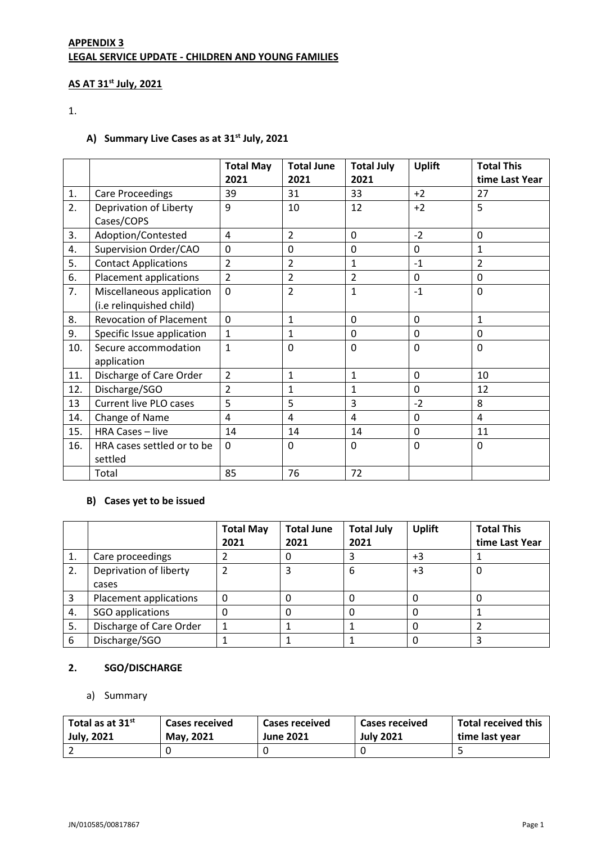# **APPENDIX 3 LEGAL SERVICE UPDATE - CHILDREN AND YOUNG FAMILIES**

#### **AS AT 31st July, 2021**

# 1.

## **A) Summary Live Cases as at 31st July, 2021**

|     |                                | <b>Total May</b> | <b>Total June</b> | <b>Total July</b> | <b>Uplift</b> | <b>Total This</b> |
|-----|--------------------------------|------------------|-------------------|-------------------|---------------|-------------------|
|     |                                | 2021             | 2021              | 2021              |               | time Last Year    |
| 1.  | <b>Care Proceedings</b>        | 39               | 31                | 33                | $+2$          | 27                |
| 2.  | Deprivation of Liberty         | 9                | 10                | 12                | $+2$          | 5                 |
|     | Cases/COPS                     |                  |                   |                   |               |                   |
| 3.  | Adoption/Contested             | 4                | $\overline{2}$    | $\mathbf{0}$      | $-2$          | $\mathbf 0$       |
| 4.  | Supervision Order/CAO          | $\mathbf 0$      | 0                 | $\mathbf 0$       | $\mathbf 0$   | $\overline{1}$    |
| 5.  | <b>Contact Applications</b>    | $\overline{2}$   | $\overline{2}$    | $\mathbf{1}$      | $-1$          | $\overline{2}$    |
| 6.  | Placement applications         | $\overline{2}$   | $\overline{2}$    | $\overline{2}$    | $\mathbf 0$   | $\mathbf 0$       |
| 7.  | Miscellaneous application      | $\Omega$         | $\overline{2}$    | $\mathbf{1}$      | $-1$          | $\mathbf 0$       |
|     | (i.e relinquished child)       |                  |                   |                   |               |                   |
| 8.  | <b>Revocation of Placement</b> | $\Omega$         | $\mathbf{1}$      | $\mathbf 0$       | $\mathbf 0$   | $\mathbf{1}$      |
| 9.  | Specific Issue application     | 1                | $\mathbf{1}$      | $\Omega$          | $\mathbf 0$   | $\mathbf 0$       |
| 10. | Secure accommodation           | $\mathbf{1}$     | 0                 | $\mathbf 0$       | $\mathbf 0$   | $\mathbf 0$       |
|     | application                    |                  |                   |                   |               |                   |
| 11. | Discharge of Care Order        | $\overline{2}$   | $\mathbf{1}$      | $\mathbf{1}$      | $\mathbf 0$   | 10                |
| 12. | Discharge/SGO                  | 2                | $\mathbf{1}$      | $\mathbf{1}$      | $\mathbf 0$   | 12                |
| 13  | Current live PLO cases         | 5                | 5                 | 3                 | $-2$          | 8                 |
| 14. | Change of Name                 | $\overline{4}$   | 4                 | $\overline{4}$    | $\mathbf 0$   | $\overline{4}$    |
| 15. | HRA Cases - live               | 14               | 14                | 14                | $\mathbf 0$   | 11                |
| 16. | HRA cases settled or to be     | $\Omega$         | 0                 | $\Omega$          | $\mathbf 0$   | $\mathbf 0$       |
|     | settled                        |                  |                   |                   |               |                   |
|     | Total                          | 85               | 76                | 72                |               |                   |

#### **B) Cases yet to be issued**

|    |                         | <b>Total May</b><br>2021 | <b>Total June</b><br>2021 | <b>Total July</b><br>2021 | <b>Uplift</b> | <b>Total This</b><br>time Last Year |
|----|-------------------------|--------------------------|---------------------------|---------------------------|---------------|-------------------------------------|
| 1. | Care proceedings        |                          | 0                         |                           | $+3$          |                                     |
| 2. | Deprivation of liberty  |                          | 3                         | 6                         | $+3$          | 0                                   |
|    | cases                   |                          |                           |                           |               |                                     |
| 3  | Placement applications  | $\Omega$                 | 0                         | 0                         |               |                                     |
| 4. | SGO applications        | 0                        | 0                         | 0                         |               |                                     |
| 5. | Discharge of Care Order |                          |                           |                           |               |                                     |
| 6  | Discharge/SGO           |                          |                           |                           |               |                                     |

## **2. SGO/DISCHARGE**

#### a) Summary

| Total as at $31$ <sup>st</sup> | Cases received | <b>Cases received</b> | <b>Cases received</b> | Total received this |
|--------------------------------|----------------|-----------------------|-----------------------|---------------------|
| July, 2021                     | May. 2021      | <b>June 2021</b>      | <b>July 2021</b>      | time last year      |
|                                |                |                       |                       |                     |